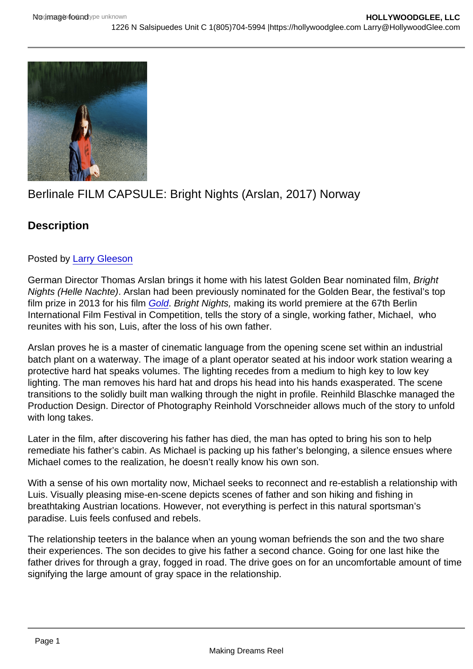# Berlinale FILM CAPSULE: Bright Nights (Arslan, 2017) Norway

**Description** 

## Posted by [Larry Gleeson](http://sbccfilmreviews.org/?s=Larry+Gleeson)

German Director Thomas Arslan brings it home with his latest Golden Bear nominated film, Bright Nights (Helle Nachte). Arslan had been previously nominated for the Golden Bear, the festival's top film prize in 2013 for his film [Gold](http://www.imdb.com/title/tt2338846/?ref_=nm_knf_t1). Bright Nights, making its world premiere at the 67th Berlin International Film Festival in Competition, tells the story of a single, working father, Michael, who reunites with his son, Luis, after the loss of his own father.

Arslan proves he is a master of cinematic language from the opening scene set within an industrial batch plant on a waterway. The image of a plant operator seated at his indoor work station wearing a protective hard hat speaks volumes. The lighting recedes from a medium to high key to low key lighting. The man removes his hard hat and drops his head into his hands exasperated. The scene transitions to the solidly built man walking through the night in profile. Reinhild Blaschke managed the Production Design. Director of Photography Reinhold Vorschneider allows much of the story to unfold with long takes.

Later in the film, after discovering his father has died, the man has opted to bring his son to help remediate his father's cabin. As Michael is packing up his father's belonging, a silence ensues where Michael comes to the realization, he doesn't really know his own son.

With a sense of his own mortality now, Michael seeks to reconnect and re-establish a relationship with Luis. Visually pleasing mise-en-scene depicts scenes of father and son hiking and fishing in breathtaking Austrian locations. However, not everything is perfect in this natural sportsman's paradise. Luis feels confused and rebels.

The relationship teeters in the balance when an young woman befriends the son and the two share their experiences. The son decides to give his father a second chance. Going for one last hike the father drives for through a gray, fogged in road. The drive goes on for an uncomfortable amount of time signifying the large amount of gray space in the relationship.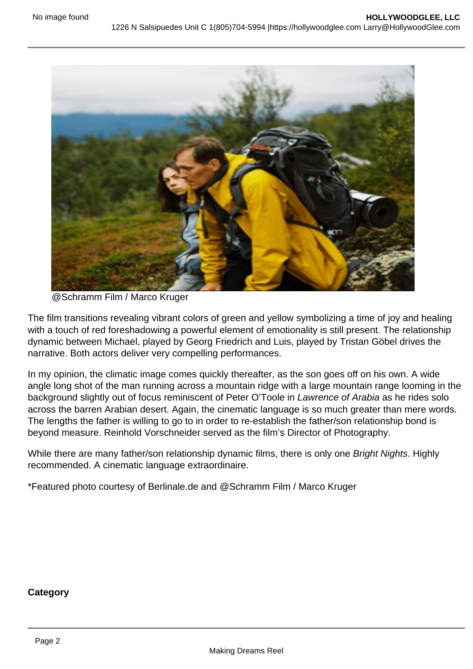

@Schramm Film / Marco Kruger

The film transitions revealing vibrant colors of green and yellow symbolizing a time of joy and healing with a touch of red foreshadowing a powerful element of emotionality is still present. The relationship dynamic between Michael, played by Georg Friedrich and Luis, played by Tristan Göbel drives the narrative. Both actors deliver very compelling performances.

In my opinion, the climatic image comes quickly thereafter, as the son goes off on his own. A wide angle long shot of the man running across a mountain ridge with a large mountain range looming in the background slightly out of focus reminiscent of Peter O'Toole in Lawrence of Arabia as he rides solo across the barren Arabian desert. Again, the cinematic language is so much greater than mere words. The lengths the father is willing to go to in order to re-establish the father/son relationship bond is beyond measure. Reinhold Vorschneider served as the film's Director of Photography.

While there are many father/son relationship dynamic films, there is only one Bright Nights. Highly recommended. A cinematic language extraordinaire.

\*Featured photo courtesy of Berlinale.de and @Schramm Film / Marco Kruger

#### **Category**